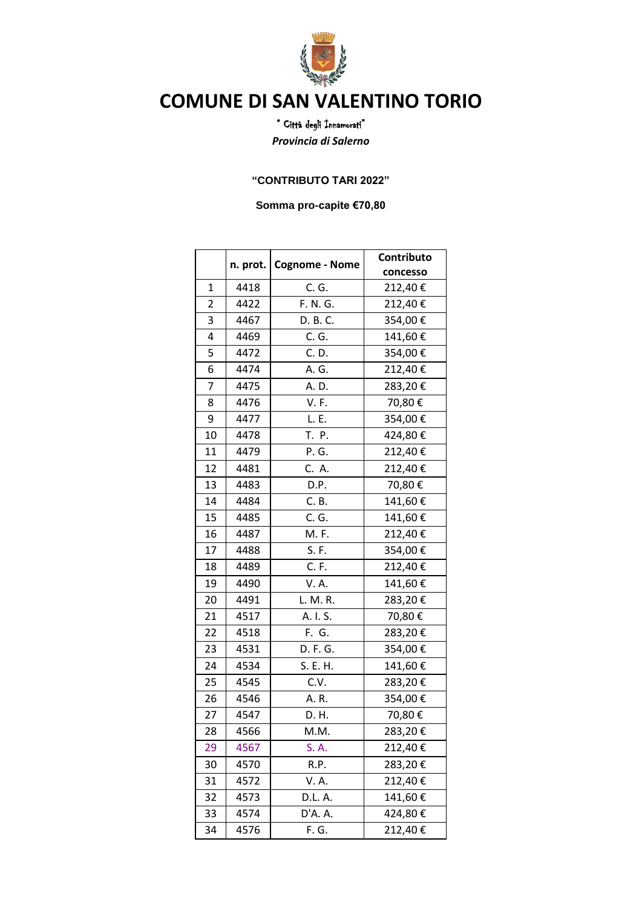

## **COMUNE DI SAN VALENTINO TORIO**

" Città degli Innamorati" *Provincia di Salerno*

## **"CONTRIBUTO TARI 2022"**

**Somma pro-capite €70,80**

|              |      | n. prot.   Cognome - Nome | Contributo |
|--------------|------|---------------------------|------------|
|              |      |                           | concesso   |
| $\mathbf{1}$ | 4418 | C. G.                     | 212,40€    |
| 2            | 4422 | F. N. G.                  | 212,40€    |
| 3            | 4467 | D. B. C.                  | 354,00€    |
| 4            | 4469 | C. G.                     | 141,60€    |
| 5            | 4472 | C. D.                     | 354,00€    |
| 6            | 4474 | A. G.                     | 212,40€    |
| 7            | 4475 | A. D.                     | 283,20€    |
| 8            | 4476 | <b>V.F.</b>               | 70,80€     |
| 9            | 4477 | L. E.                     | 354,00€    |
| 10           | 4478 | T. P.                     | 424,80€    |
| 11           | 4479 | P. G.                     | 212,40€    |
| 12           | 4481 | C. A.                     | 212,40€    |
| 13           | 4483 | D.P.                      | 70,80€     |
| 14           | 4484 | C. B.                     | 141,60€    |
| 15           | 4485 | C. G.                     | 141,60€    |
| 16           | 4487 | M. F.                     | 212,40€    |
| 17           | 4488 | S. F.                     | 354,00€    |
| 18           | 4489 | C. F.                     | 212,40€    |
| 19           | 4490 | V. A.                     | 141,60€    |
| 20           | 4491 | L. M. R.                  | 283,20€    |
| 21           | 4517 | A. I. S.                  | 70,80€     |
| 22           | 4518 | F. G.                     | 283,20€    |
| 23           | 4531 | D. F. G.                  | 354,00€    |
| 24           | 4534 | S. E. H.                  | 141,60€    |
| 25           | 4545 | C.V.                      | 283,20€    |
| 26           | 4546 | A.R.                      | 354,00€    |
| 27           | 4547 | D. H.                     | 70,80€     |
| 28           | 4566 | M.M.                      | 283,20€    |
| 29           | 4567 | S. A.                     | 212,40€    |
| 30           | 4570 | R.P.                      | 283,20€    |
| 31           | 4572 | V. A.                     | 212,40€    |
| 32           | 4573 | D.L. A.                   | 141,60€    |
| 33           | 4574 | D'A. A.                   | 424,80€    |
| 34           | 4576 | F. G.                     | 212,40€    |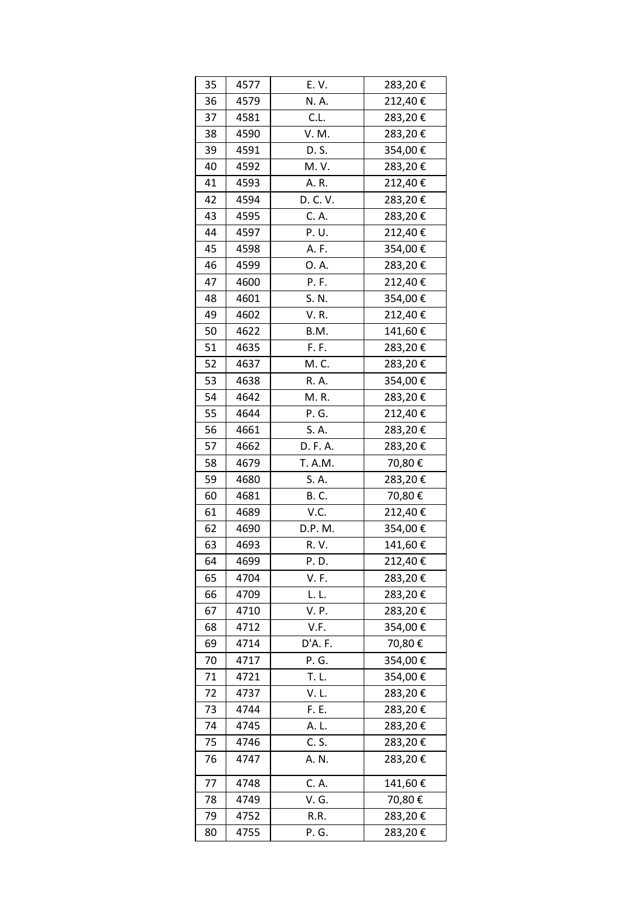| 35 | 4577 | E.V.     | 283,20€ |
|----|------|----------|---------|
| 36 | 4579 | N. A.    | 212,40€ |
| 37 | 4581 | C.L.     | 283,20€ |
| 38 | 4590 | V. M.    | 283,20€ |
| 39 | 4591 | D. S.    | 354,00€ |
| 40 | 4592 | M. V.    | 283,20€ |
| 41 | 4593 | A. R.    | 212,40€ |
| 42 | 4594 | D. C. V. | 283,20€ |
| 43 | 4595 | C. A.    | 283,20€ |
| 44 | 4597 | P.U.     | 212,40€ |
| 45 | 4598 | A. F.    | 354,00€ |
| 46 | 4599 | 0. A.    | 283,20€ |
| 47 | 4600 | P.F.     | 212,40€ |
| 48 | 4601 | S. N.    | 354,00€ |
| 49 | 4602 | V.R.     | 212,40€ |
| 50 | 4622 | B.M.     | 141,60€ |
| 51 | 4635 | F. F.    | 283,20€ |
| 52 | 4637 | M. C.    | 283,20€ |
| 53 | 4638 | R. A.    | 354,00€ |
| 54 | 4642 | M.R.     | 283,20€ |
| 55 | 4644 | P. G.    | 212,40€ |
| 56 | 4661 | S. A.    | 283,20€ |
| 57 | 4662 | D. F. A. | 283,20€ |
| 58 | 4679 | T. A.M.  | 70,80€  |
| 59 | 4680 | S. A.    | 283,20€ |
| 60 | 4681 | B. C.    | 70,80€  |
| 61 | 4689 | V.C.     | 212,40€ |
| 62 | 4690 | D.P. M.  | 354,00€ |
| 63 | 4693 | R. V.    | 141,60€ |
| 64 | 4699 | P. D.    | 212,40€ |
| 65 | 4704 | V. F.    | 283,20€ |
| 66 | 4709 | L.L.     | 283,20€ |
| 67 | 4710 | V. P.    | 283,20€ |
| 68 | 4712 | V.F.     | 354,00€ |
| 69 | 4714 | D'A. F.  | 70,80€  |
| 70 | 4717 | P. G.    | 354,00€ |
| 71 | 4721 | T. L.    | 354,00€ |
| 72 | 4737 | V.L.     | 283,20€ |
| 73 | 4744 | F. E.    | 283,20€ |
| 74 | 4745 | A. L.    | 283,20€ |
| 75 | 4746 | C. S.    | 283,20€ |
| 76 | 4747 | A. N.    | 283,20€ |
| 77 | 4748 | C. A.    | 141,60€ |
| 78 | 4749 | V. G.    | 70,80€  |
| 79 | 4752 | R.R.     | 283,20€ |
| 80 | 4755 | P. G.    | 283,20€ |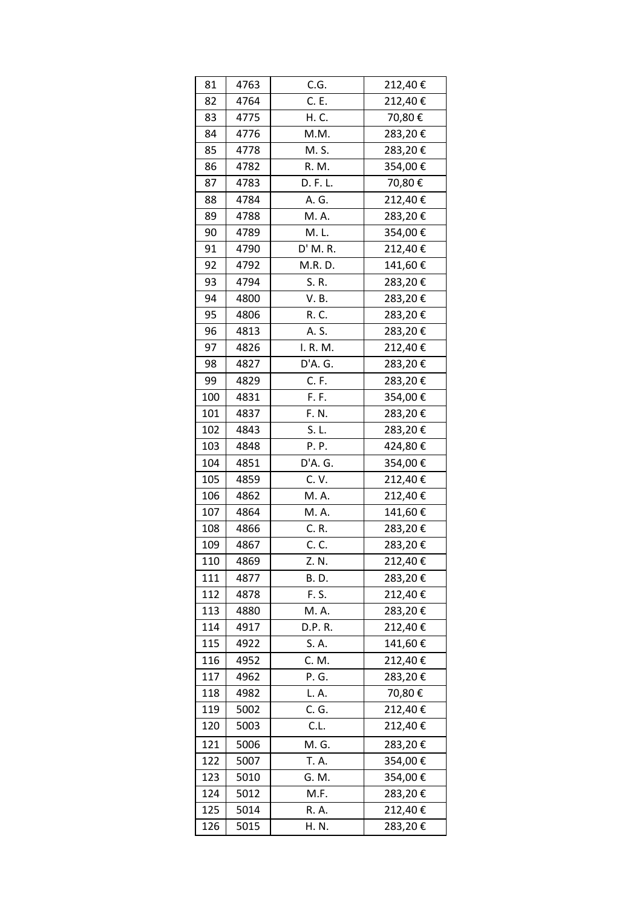| 81  | 4763 | C.G.        | 212,40€ |
|-----|------|-------------|---------|
| 82  | 4764 | C. E.       | 212,40€ |
| 83  | 4775 | H. C.       | 70,80€  |
| 84  | 4776 | M.M.        | 283,20€ |
| 85  | 4778 | M. S.       | 283,20€ |
| 86  | 4782 | R. M.       | 354,00€ |
| 87  | 4783 | D. F. L.    | 70,80€  |
| 88  | 4784 | A. G.       | 212,40€ |
| 89  | 4788 | M. A.       | 283,20€ |
| 90  | 4789 | M.L.        | 354,00€ |
| 91  | 4790 | D' M. R.    | 212,40€ |
| 92  | 4792 | M.R. D.     | 141,60€ |
| 93  | 4794 | S. R.       | 283,20€ |
| 94  | 4800 | V.B.        | 283,20€ |
| 95  | 4806 | R. C.       | 283,20€ |
| 96  | 4813 | A. S.       | 283,20€ |
| 97  | 4826 | I. R. M.    | 212,40€ |
| 98  | 4827 | D'A. G.     | 283,20€ |
| 99  | 4829 | C. F.       | 283,20€ |
| 100 | 4831 | F. F.       | 354,00€ |
| 101 | 4837 | F. N.       | 283,20€ |
| 102 | 4843 | S. L.       | 283,20€ |
| 103 | 4848 | P.P.        | 424,80€ |
| 104 | 4851 | D'A. G.     | 354,00€ |
| 105 | 4859 | C.V.        | 212,40€ |
| 106 | 4862 | M. A.       | 212,40€ |
| 107 | 4864 | M. A.       | 141,60€ |
| 108 | 4866 | C. R.       | 283,20€ |
| 109 | 4867 | C. C.       | 283,20€ |
| 110 | 4869 | Z. N.       | 212,40€ |
| 111 | 4877 | <b>B.D.</b> | 283,20€ |
| 112 | 4878 | F. S.       | 212,40€ |
| 113 | 4880 | M. A.       | 283,20€ |
| 114 | 4917 | D.P. R.     | 212,40€ |
| 115 | 4922 | S. A.       | 141,60€ |
| 116 | 4952 | C. M.       | 212,40€ |
| 117 | 4962 | P. G.       | 283,20€ |
| 118 | 4982 | L. A.       | 70,80€  |
| 119 | 5002 | C. G.       | 212,40€ |
| 120 | 5003 | C.L.        | 212,40€ |
| 121 | 5006 | M. G.       | 283,20€ |
| 122 | 5007 | T. A.       | 354,00€ |
| 123 | 5010 | G. M.       | 354,00€ |
| 124 | 5012 | M.F.        | 283,20€ |
| 125 | 5014 | R. A.       | 212,40€ |
| 126 | 5015 | H. N.       | 283,20€ |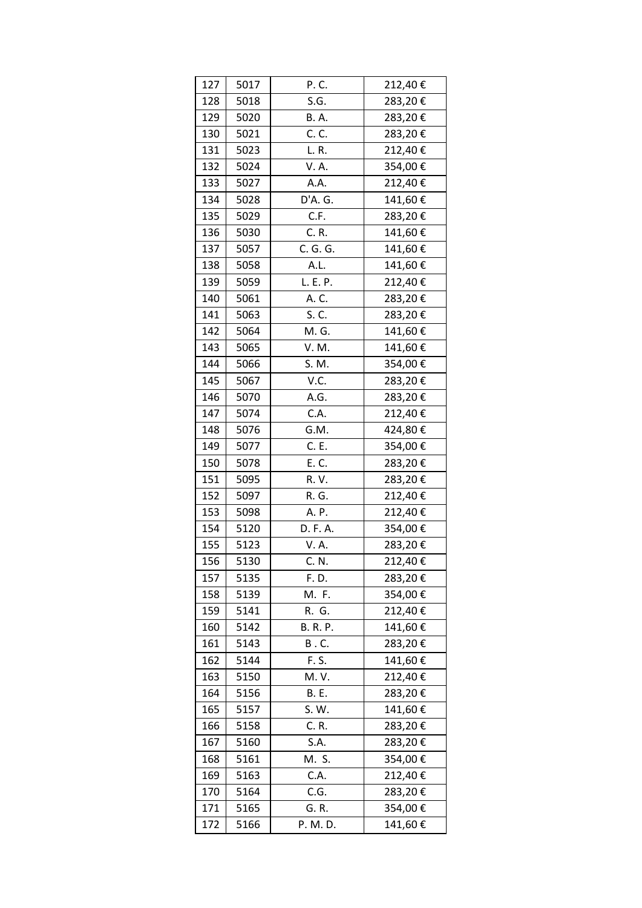| 127 | 5017 | P.C.            | 212,40€ |
|-----|------|-----------------|---------|
| 128 | 5018 | S.G.            | 283,20€ |
| 129 | 5020 | <b>B.A.</b>     | 283,20€ |
| 130 | 5021 | C. C.           | 283,20€ |
| 131 | 5023 | L. R.           | 212,40€ |
| 132 | 5024 | V. A.           | 354,00€ |
| 133 | 5027 | A.A.            | 212,40€ |
| 134 | 5028 | D'A. G.         | 141,60€ |
| 135 | 5029 | C.F.            | 283,20€ |
| 136 | 5030 | C. R.           | 141,60€ |
| 137 | 5057 | C. G. G.        | 141,60€ |
| 138 | 5058 | A.L.            | 141,60€ |
| 139 | 5059 | L. E. P.        | 212,40€ |
| 140 | 5061 | A. C.           | 283,20€ |
| 141 | 5063 | S. C.           | 283,20€ |
| 142 | 5064 | M. G.           | 141,60€ |
| 143 | 5065 | V. M.           | 141,60€ |
| 144 | 5066 | S. M.           | 354,00€ |
| 145 | 5067 | V.C.            | 283,20€ |
| 146 | 5070 | A.G.            | 283,20€ |
| 147 | 5074 | C.A.            | 212,40€ |
| 148 | 5076 | G.M.            | 424,80€ |
| 149 | 5077 | C. E.           | 354,00€ |
| 150 | 5078 | E. C.           | 283,20€ |
| 151 | 5095 | R. V.           | 283,20€ |
| 152 | 5097 | R. G.           | 212,40€ |
| 153 | 5098 | A. P.           | 212,40€ |
| 154 | 5120 | D. F. A.        | 354,00€ |
| 155 | 5123 | V. A.           | 283,20€ |
| 156 | 5130 | C. N.           | 212,40€ |
| 157 | 5135 | F. D.           | 283,20€ |
| 158 | 5139 | M. F.           | 354,00€ |
| 159 | 5141 | R. G.           | 212,40€ |
| 160 | 5142 | <b>B. R. P.</b> | 141,60€ |
| 161 | 5143 | B. C.           | 283,20€ |
| 162 | 5144 | F. S.           | 141,60€ |
| 163 | 5150 | M. V.           | 212,40€ |
| 164 | 5156 | <b>B.</b> E.    | 283,20€ |
| 165 | 5157 | S. W.           | 141,60€ |
| 166 | 5158 | C. R.           | 283,20€ |
| 167 | 5160 | S.A.            | 283,20€ |
| 168 | 5161 | M. S.           | 354,00€ |
| 169 | 5163 | C.A.            | 212,40€ |
| 170 | 5164 | C.G.            | 283,20€ |
| 171 | 5165 | G. R.           | 354,00€ |
| 172 | 5166 | P. M. D.        | 141,60€ |